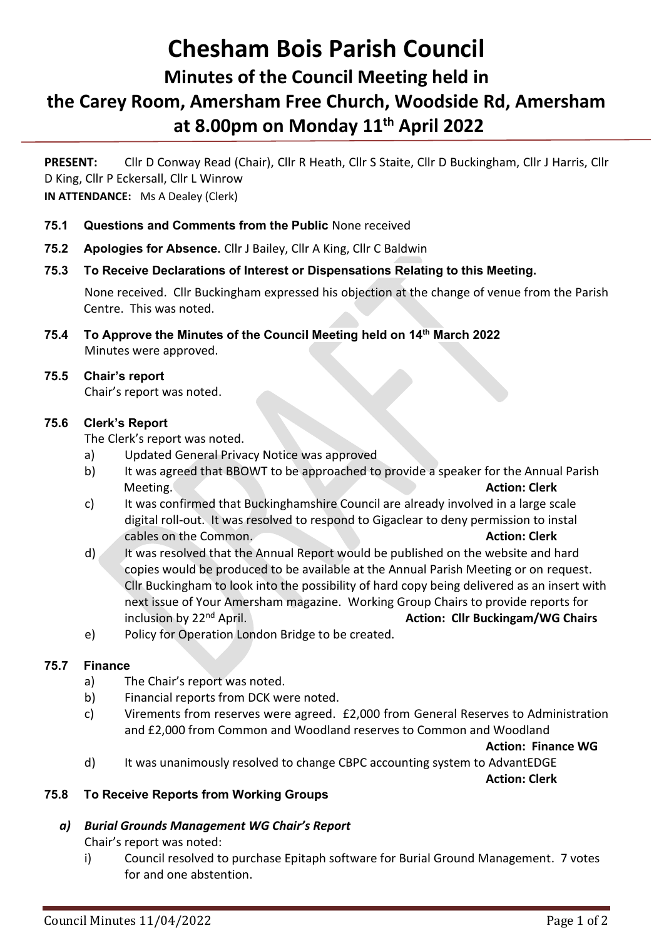# **Chesham Bois Parish Council Minutes of the Council Meeting held in the Carey Room, Amersham Free Church, Woodside Rd, Amersham at 8.00pm on Monday 11 th April 2022**

**PRESENT:** Cllr D Conway Read (Chair), Cllr R Heath, Cllr S Staite, Cllr D Buckingham, Cllr J Harris, Cllr D King, Cllr P Eckersall, Cllr L Winrow **IN ATTENDANCE:** Ms A Dealey (Clerk)

- **75.1 Questions and Comments from the Public** None received
- **75.2 Apologies for Absence.** Cllr J Bailey, Cllr A King, Cllr C Baldwin
- **75.3 To Receive Declarations of Interest or Dispensations Relating to this Meeting.**

None received. Cllr Buckingham expressed his objection at the change of venue from the Parish Centre. This was noted.

**75.4 To Approve the Minutes of the Council Meeting held on 14th March 2022** Minutes were approved.

## **75.5 Chair's report**

Chair's report was noted.

## **75.6 Clerk's Report**

The Clerk's report was noted.

- a) Updated General Privacy Notice was approved
- b) It was agreed that BBOWT to be approached to provide a speaker for the Annual Parish **Meeting. Action: Clerk**
- c) It was confirmed that Buckinghamshire Council are already involved in a large scale digital roll-out. It was resolved to respond to Gigaclear to deny permission to instal cables on the Common. **Action: Clerk**
- d) It was resolved that the Annual Report would be published on the website and hard copies would be produced to be available at the Annual Parish Meeting or on request. Cllr Buckingham to look into the possibility of hard copy being delivered as an insert with next issue of Your Amersham magazine. Working Group Chairs to provide reports for inclusion by 22<sup>nd</sup> April. **Action: Cllr Buckingam/WG Chairs Action: Cllr Buckingam/WG Chairs**
- e) Policy for Operation London Bridge to be created.

# **75.7 Finance**

- a) The Chair's report was noted.
- b) Financial reports from DCK were noted.
- c) Virements from reserves were agreed. £2,000 from General Reserves to Administration and £2,000 from Common and Woodland reserves to Common and Woodland

**Action: Finance WG**

d) It was unanimously resolved to change CBPC accounting system to AdvantEDGE

**Action: Clerk**

# **75.8 To Receive Reports from Working Groups**

#### *a) Burial Grounds Management WG Chair's Report*

Chair's report was noted:

i) Council resolved to purchase Epitaph software for Burial Ground Management. 7 votes for and one abstention.